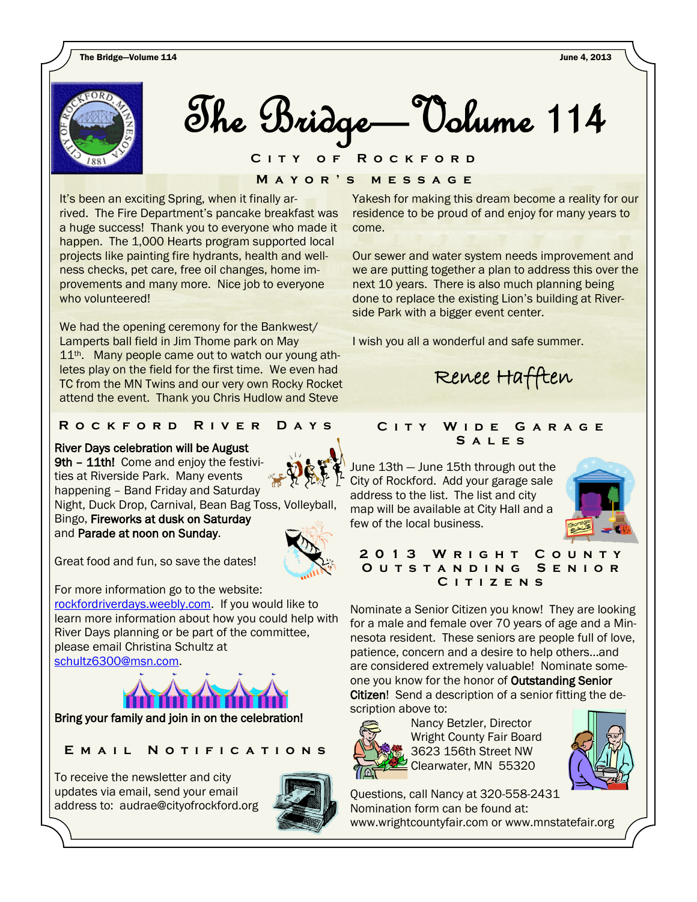

The Bridge—Volume 106 The Bridge—Volume 114

 $\frac{1}{2}$ **M a y o r ' s m e s s a g e C i t y o f R o c k f o r d**

It's been an exciting Spring, when it finally arrived. The Fire Department's pancake breakfast was a huge success! Thank you to everyone who made it happen. The 1,000 Hearts program supported local projects like painting fire hydrants, health and wellness checks, pet care, free oil changes, home improvements and many more. Nice job to everyone who volunteered!

We had the opening ceremony for the Bankwest/ Lamperts ball field in Jim Thome park on May 11<sup>th</sup>. Many people came out to watch our young athletes play on the field for the first time. We even had TC from the MN Twins and our very own Rocky Rocket attend the event. Thank you Chris Hudlow and Steve

# **R o c k f o r d R i v e r D a y s**

# River Days celebration will be August

9th - 11th! Come and enjoy the festivities at Riverside Park. Many events happening – Band Friday and Saturday Night, Duck Drop, Carnival, Bean Bag Toss, Volleyball,

Bingo, Fireworks at dusk on Saturday and Parade at noon on Sunday.



Great food and fun, so save the dates!

For more information go to the website: [rockfordriverdays.weebly.com.](http://rockfordriverdays.weebly.com) If you would like to learn more information about how you could help with River Days planning or be part of the committee, please email Christina Schultz at [schultz6300@msn.com.](mailto:schultz6300@msn.com) 



Bring your family and join in on the celebration!

E M A I L N O T I F I C A T I O N S

To receive the newsletter and city updates via email, send your email address to: audrae@cityofrockford.org



Yakesh for making this dream become a reality for our residence to be proud of and enjoy for many years to come.

Our sewer and water system needs improvement and we are putting together a plan to address this over the next 10 years. There is also much planning being done to replace the existing Lion's building at Riverside Park with a bigger event center.

I wish you all a wonderful and safe summer.



# CITY WIDE GARAGE **S a l e s**

June 13th — June 15th through out the City of Rockford. Add your garage sale address to the list. The list and city map will be available at City Hall and a few of the local business.



# **2 0 1 3 W r i g h t C o u n t y O u t s t a n d i n g S e n i o r C i t i z e n s**

**2012 2012 2012 2012 2012 2014 2014 2014 2014 2014 2014 2014 2014 2014 2014 2014 2014 2014 2014 2014 2014 2014 2014 2014 2014 2014 2014 2014 2014 2014 2014 2014** *MOL OF OUGGITURE* JUINTON, BEITH Citizen! Send a description of a senior fitting the de-<br>scription above to: Nominate a Senior Citizen you know! They are looking for a male and female over 70 years of age and a Minnesota resident. These seniors are people full of love, patience, concern and a desire to help others...and one you know for the honor of **Outstanding Senior** scription above to:



Nancy Betzler, Director Wright County Fair Board 3623 156th Street NW Clearwater, MN 55320



Questions, call Nancy at 320-558-2431 Nomination form can be found at: www.wrightcountyfair.com or www.mnstatefair.org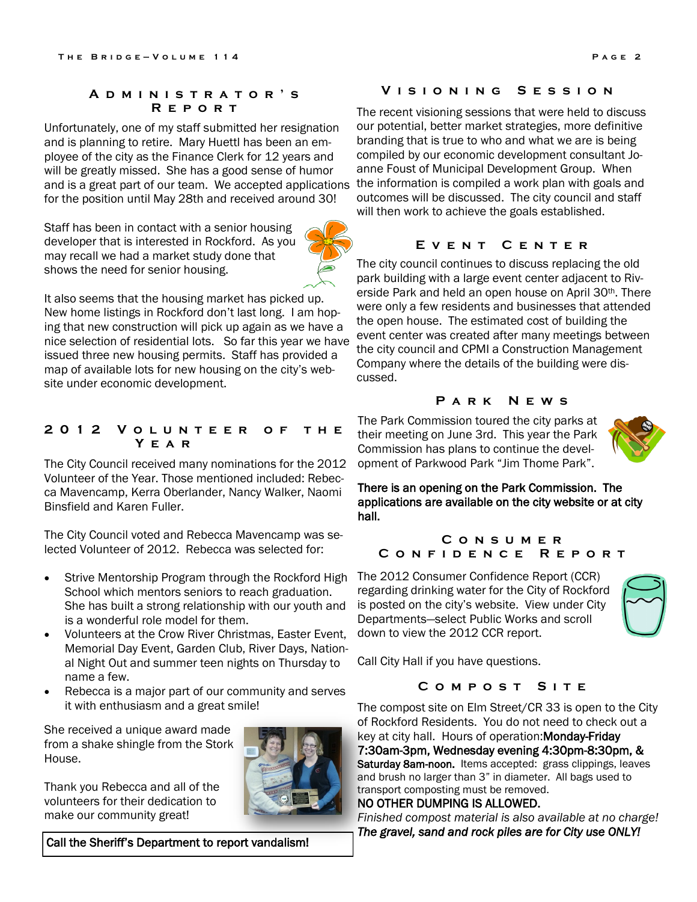#### **A d m i n i s t r a t o r ' s R e p o r t**

Unfortunately, one of my staff submitted her resignation and is planning to retire. Mary Huettl has been an employee of the city as the Finance Clerk for 12 years and will be greatly missed. She has a good sense of humor and is a great part of our team. We accepted applications for the position until May 28th and received around 30!

Staff has been in contact with a senior housing developer that is interested in Rockford. As you may recall we had a market study done that shows the need for senior housing.

It also seems that the housing market has picked up. New home listings in Rockford don't last long. I am hoping that new construction will pick up again as we have a nice selection of residential lots. So far this year we have issued three new housing permits. Staff has provided a map of available lots for new housing on the city's website under economic development.

#### **2 0 1 2 V o l u n t e e r o f t h e Y e a r**

The City Council received many nominations for the 2012 Volunteer of the Year. Those mentioned included: Rebecca Mavencamp, Kerra Oberlander, Nancy Walker, Naomi Binsfield and Karen Fuller.

The City Council voted and Rebecca Mavencamp was selected Volunteer of 2012. Rebecca was selected for:

- Strive Mentorship Program through the Rockford High School which mentors seniors to reach graduation. She has built a strong relationship with our youth and is a wonderful role model for them.
- Volunteers at the Crow River Christmas, Easter Event, Memorial Day Event, Garden Club, River Days, National Night Out and summer teen nights on Thursday to name a few.
- Rebecca is a major part of our community and serves it with enthusiasm and a great smile!

She received a unique award made from a shake shingle from the Stork House.

Thank you Rebecca and all of the volunteers for their dedication to make our community great!



#### **V i s i o n i n g S e s s i o n**

The recent visioning sessions that were held to discuss our potential, better market strategies, more definitive branding that is true to who and what we are is being compiled by our economic development consultant Joanne Foust of Municipal Development Group. When the information is compiled a work plan with goals and outcomes will be discussed. The city council and staff will then work to achieve the goals established.

# **E v e n t C e n t e r**

The city council continues to discuss replacing the old park building with a large event center adjacent to Riverside Park and held an open house on April 30th. There were only a few residents and businesses that attended the open house. The estimated cost of building the event center was created after many meetings between the city council and CPMI a Construction Management Company where the details of the building were discussed.

# **P a r k N e w s**

The Park Commission toured the city parks at their meeting on June 3rd. This year the Park Commission has plans to continue the development of Parkwood Park "Jim Thome Park".



There is an opening on the Park Commission. The applications are available on the city website or at city hall.

# **C o n s u m e r C o n f i d e n c e R e p o r t**

The 2012 Consumer Confidence Report (CCR) regarding drinking water for the City of Rockford is posted on the city's website. View under City Departments—select Public Works and scroll down to view the 2012 CCR report.

Call City Hall if you have questions.

### **C o m p o s t S i t e**

The compost site on Elm Street/CR 33 is open to the City of Rockford Residents. You do not need to check out a key at city hall. Hours of operation:Monday-Friday 7:30am-3pm, Wednesday evening 4:30pm-8:30pm, & Saturday 8am-noon. Items accepted: grass clippings, leaves and brush no larger than 3" in diameter. All bags used to transport composting must be removed.

# NO OTHER DUMPING IS ALLOWED.

*Finished compost material is also available at no charge! The gravel, sand and rock piles are for City use ONLY!* 

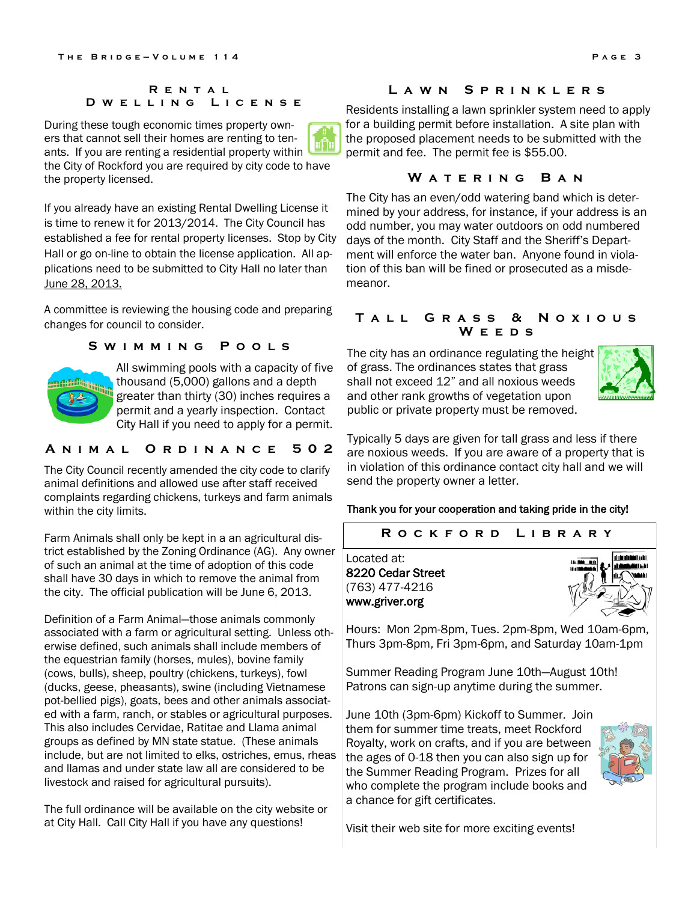#### **R e n t a l D w e l l i n g L i c e n s e**

During these tough economic times property owners that cannot sell their homes are renting to tenants. If you are renting a residential property within the City of Rockford you are required by city code to have the property licensed.

If you already have an existing Rental Dwelling License it is time to renew it for 2013/2014. The City Council has established a fee for rental property licenses. Stop by City Hall or go on-line to obtain the license application. All applications need to be submitted to City Hall no later than June 28, 2013.

A committee is reviewing the housing code and preparing committed is reviewing the housing code and proparing **TALL GRASS & NOXIOUS** *changes* for council to consider.

# **S W I M M I N G P O O L S**<br>The city has an ordinance regulating the height



All swimming pools with a capacity of five thousand (5,000) gallons and a depth greater than thirty (30) inches requires a permit and a yearly inspection. Contact City Hall if you need to apply for a permit.

# **A N I M A L O R D I N A N C E 502**

The City Council recently amended the city code to clarify animal definitions and allowed use after staff received complaints regarding chickens, turkeys and farm animals within the city limits.

Farm Animals shall only be kept in a an agricultural district established by the Zoning Ordinance (AG). Any owner of such an animal at the time of adoption of this code shall have 30 days in which to remove the animal from the city. The official publication will be June 6, 2013.

Definition of a Farm Animal—those animals commonly associated with a farm or agricultural setting. Unless otherwise defined, such animals shall include members of the equestrian family (horses, mules), bovine family (cows, bulls), sheep, poultry (chickens, turkeys), fowl (ducks, geese, pheasants), swine (including Vietnamese pot-bellied pigs), goats, bees and other animals associated with a farm, ranch, or stables or agricultural purposes. This also includes Cervidae, Ratitae and Llama animal groups as defined by MN state statue. (These animals include, but are not limited to elks, ostriches, emus, rheas and llamas and under state law all are considered to be livestock and raised for agricultural pursuits).

The full ordinance will be available on the city website or at City Hall. Call City Hall if you have any questions!

#### **L a w n S p r i n k l e r s**

Residents installing a lawn sprinkler system need to apply for a building permit before installation. A site plan with the proposed placement needs to be submitted with the permit and fee. The permit fee is \$55.00.

# **W a t e r i n g B a n**

The City has an even/odd watering band which is determined by your address, for instance, if your address is an odd number, you may water outdoors on odd numbered days of the month. City Staff and the Sheriff's Department will enforce the water ban. Anyone found in violation of this ban will be fined or prosecuted as a misdemeanor.

# **W e e d s**

of grass. The ordinances states that grass shall not exceed 12" and all noxious weeds and other rank growths of vegetation upon public or private property must be removed.



Typically 5 days are given for tall grass and less if there are noxious weeds. If you are aware of a property that is in violation of this ordinance contact city hall and we will send the property owner a letter.

#### Thank you for your cooperation and taking pride in the city!

#### **R o c k f o r d L i b r a r y**

Located at: 8220 Cedar Street (763) 477-4216 www.griver.org



Hours: Mon 2pm-8pm, Tues. 2pm-8pm, Wed 10am-6pm, Thurs 3pm-8pm, Fri 3pm-6pm, and Saturday 10am-1pm

Summer Reading Program June 10th—August 10th! Patrons can sign-up anytime during the summer.

June 10th (3pm-6pm) Kickoff to Summer. Join them for summer time treats, meet Rockford Royalty, work on crafts, and if you are between the ages of 0-18 then you can also sign up for the Summer Reading Program. Prizes for all who complete the program include books and a chance for gift certificates.



Visit their web site for more exciting events!